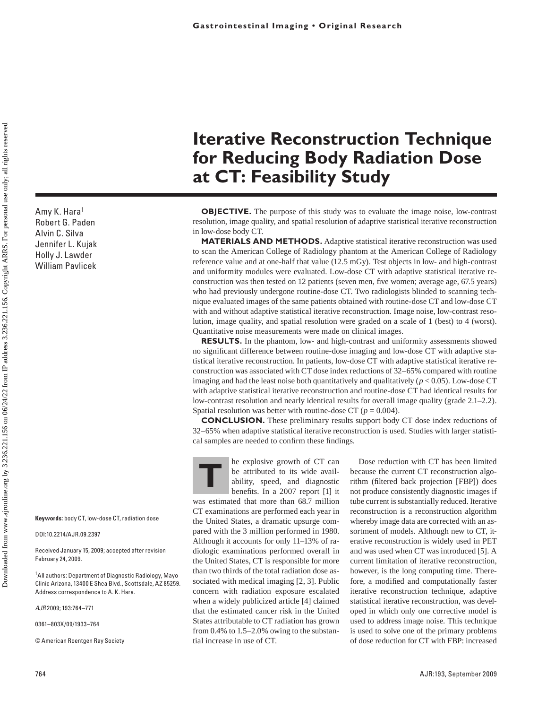Amy K. Hara1 Robert G. Paden Alvin C. Silva Jennifer L. Kujak Holly J. Lawder William Pavlicek

**Keywords:** body CT, low-dose CT, radiation dose

DOI:10.2214/AJR.09.2397

Received January 15, 2009; accepted after revision February 24, 2009.

<sup>1</sup> All authors: Department of Diagnostic Radiology, Mayo Clinic Arizona, 13400 E Shea Blvd., Scottsdale, AZ 85259. Address correspondence to A. K. Hara.

*AJR* 2009; 193:764–771

0361–803X/09/1933–764

© American Roentgen Ray Society

# **Iterative Reconstruction Technique for Reducing Body Radiation Dose at CT: Feasibility Study**

**OBJECTIVE.** The purpose of this study was to evaluate the image noise, low-contrast resolution, image quality, and spatial resolution of adaptive statistical iterative reconstruction in low-dose body CT.

**MATERIALS AND METHODS.** Adaptive statistical iterative reconstruction was used to scan the American College of Radiology phantom at the American College of Radiology reference value and at one-half that value (12.5 mGy). Test objects in low- and high-contrast and uniformity modules were evaluated. Low-dose CT with adaptive statistical iterative reconstruction was then tested on 12 patients (seven men, five women; average age, 67.5 years) who had previously undergone routine-dose CT. Two radiologists blinded to scanning technique evaluated images of the same patients obtained with routine-dose CT and low-dose CT with and without adaptive statistical iterative reconstruction. Image noise, low-contrast resolution, image quality, and spatial resolution were graded on a scale of 1 (best) to 4 (worst). Quantitative noise measurements were made on clinical images.

**RESULTS.** In the phantom, low- and high-contrast and uniformity assessments showed no significant difference between routine-dose imaging and low-dose CT with adaptive statistical iterative reconstruction. In patients, low-dose CT with adaptive statistical iterative reconstruction was associated with CT dose index reductions of 32–65% compared with routine imaging and had the least noise both quantitatively and qualitatively  $(p < 0.05)$ . Low-dose CT with adaptive statistical iterative reconstruction and routine-dose CT had identical results for low-contrast resolution and nearly identical results for overall image quality (grade 2.1–2.2). Spatial resolution was better with routine-dose CT ( $p = 0.004$ ).

**CONCLUSION.** These preliminary results support body CT dose index reductions of 32–65% when adaptive statistical iterative reconstruction is used. Studies with larger statistical samples are needed to confirm these findings.

**THE EXPLOSIVE GENERAL SERVERT CONTROLLER SERVERT SERVERT SERVERT SERVERT SERVERT SERVERT SERVERT SERVERT SERVERT SERVERT SERVERT SERVERT SERVERT SERVERT SERVERT SERVERT SERVERT SERVERT SERVERT SERVERT SERVERT SERVERT SERV** be attributed to its wide availability, speed, and diagnostic benefits. In a 2007 report [1] it

was estimated that more than 68.7 million CT examinations are performed each year in the United States, a dramatic upsurge compared with the 3 million performed in 1980. Although it accounts for only 11–13% of radiologic examinations performed overall in the United States, CT is responsible for more than two thirds of the total radiation dose associated with medical imaging [2, 3]. Public concern with radiation exposure escalated when a widely publicized article [4] claimed that the estimated cancer risk in the United States attributable to CT radiation has grown from 0.4% to 1.5–2.0% owing to the substantial increase in use of CT.

Dose reduction with CT has been limited because the current CT reconstruction algorithm (filtered back projection [FBP]) does not produce consistently diagnostic images if tube current is substantially reduced. Iterative reconstruction is a reconstruction algorithm whereby image data are corrected with an assortment of models. Although new to CT, iterative reconstruction is widely used in PET and was used when CT was introduced [5]. A current limitation of iterative reconstruction, however, is the long computing time. Therefore, a modified and computationally faster iterative reconstruction technique, adaptive statistical iterative reconstruction, was developed in which only one corrective model is used to address image noise. This technique is used to solve one of the primary problems of dose reduction for CT with FBP: increased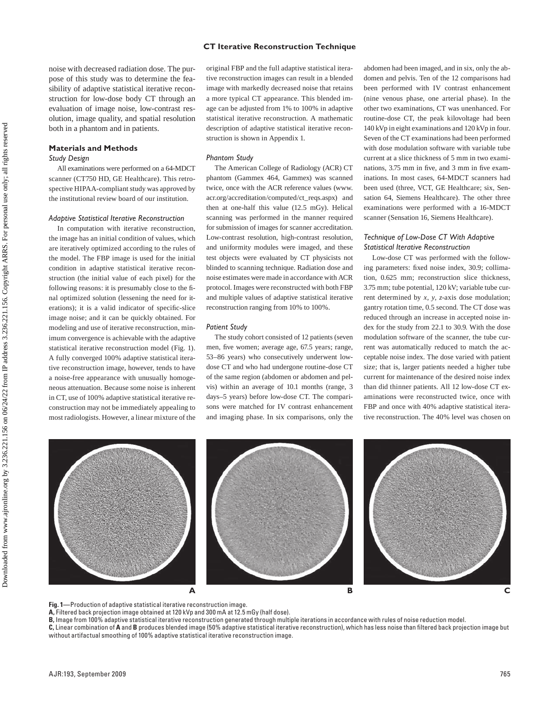noise with decreased radiation dose. The purpose of this study was to determine the feasibility of adaptive statistical iterative reconstruction for low-dose body CT through an evaluation of image noise, low-contrast resolution, image quality, and spatial resolution both in a phantom and in patients.

# **Materials and Methods**

#### *Study Design*

All examinations were performed on a 64-MDCT scanner (CT750 HD, GE Healthcare). This retrospective HIPAA-compliant study was approved by the institutional review board of our institution.

# *Adaptive Statistical Iterative Reconstruction*

In computation with iterative reconstruction, the image has an initial condition of values, which are iteratively optimized according to the rules of the model. The FBP image is used for the initial condition in adaptive statistical iterative reconstruction (the initial value of each pixel) for the following reasons: it is presumably close to the final optimized solution (lessening the need for iterations); it is a valid indicator of specific-slice image noise; and it can be quickly obtained. For modeling and use of iterative reconstruction, minimum convergence is achievable with the adaptive statistical iterative reconstruction model (Fig. 1). A fully converged 100% adaptive statistical iterative reconstruction image, however, tends to have a noise-free appearance with unusually homogeneous attenuation. Because some noise is inherent in CT, use of 100% adaptive statistical iterative reconstruction may not be immediately appealing to most radiologists. However, a linear mixture of the

original FBP and the full adaptive statistical iterative reconstruction images can result in a blended image with markedly decreased noise that retains a more typical CT appearance. This blended image can be adjusted from 1% to 100% in adaptive statistical iterative reconstruction. A mathematic description of adaptive statistical iterative reconstruction is shown in Appendix 1.

#### *Phantom Study*

The American College of Radiology (ACR) CT phantom (Gammex 464, Gammex) was scanned twice, once with the ACR reference values (www. acr.org/accreditation/computed/ct\_reqs.aspx) and then at one-half this value (12.5 mGy). Helical scanning was performed in the manner required for submission of images for scanner accreditation. Low-contrast resolution, high-contrast resolution, and uniformity modules were imaged, and these test objects were evaluated by CT physicists not blinded to scanning technique. Radiation dose and noise estimates were made in accordance with ACR protocol. Images were reconstructed with both FBP and multiple values of adaptive statistical iterative reconstruction ranging from 10% to 100%.

#### *Patient Study*

The study cohort consisted of 12 patients (seven men, five women; average age, 67.5 years; range, 53–86 years) who consecutively underwent lowdose CT and who had undergone routine-dose CT of the same region (abdomen or abdomen and pelvis) within an average of 10.1 months (range, 3 days–5 years) before low-dose CT. The comparisons were matched for IV contrast enhancement and imaging phase. In six comparisons, only the abdomen had been imaged, and in six, only the abdomen and pelvis. Ten of the 12 comparisons had been performed with IV contrast enhancement (nine venous phase, one arterial phase). In the other two examinations, CT was unenhanced. For routine-dose CT, the peak kilovoltage had been 140 kVp in eight examinations and 120 kVp in four. Seven of the CT examinations had been performed with dose modulation software with variable tube current at a slice thickness of 5 mm in two examinations, 3.75 mm in five, and 3 mm in five examinations. In most cases, 64-MDCT scanners had been used (three, VCT, GE Healthcare; six, Sensation 64, Siemens Healthcare). The other three examinations were performed with a 16-MDCT scanner (Sensation 16, Siemens Healthcare).

# *Technique of Low-Dose CT With Adaptive Statistical Iterative Reconstruction*

Low-dose CT was performed with the following parameters: fixed noise index, 30.9; collimation, 0.625 mm; reconstruction slice thickness, 3.75 mm; tube potential, 120 kV; variable tube current determined by *x, y, z*-axis dose modulation; gantry rotation time, 0.5 second. The CT dose was reduced through an increase in accepted noise index for the study from 22.1 to 30.9. With the dose modulation software of the scanner, the tube current was automatically reduced to match the acceptable noise index. The dose varied with patient size; that is, larger patients needed a higher tube current for maintenance of the desired noise index than did thinner patients. All 12 low-dose CT examinations were reconstructed twice, once with FBP and once with 40% adaptive statistical iterative reconstruction. The 40% level was chosen on



**Fig. 1—**Production of adaptive statistical iterative reconstruction image.

**A,** Filtered back projection image obtained at 120 kVp and 300 mA at 12.5 mGy (half dose).

**B,** Image from 100% adaptive statistical iterative reconstruction generated through multiple iterations in accordance with rules of noise reduction model. **C,** Linear combination of **A** and **B** produces blended image (50% adaptive statistical iterative reconstruction), which has less noise than filtered back projection image but without artifactual smoothing of 100% adaptive statistical iterative reconstruction image.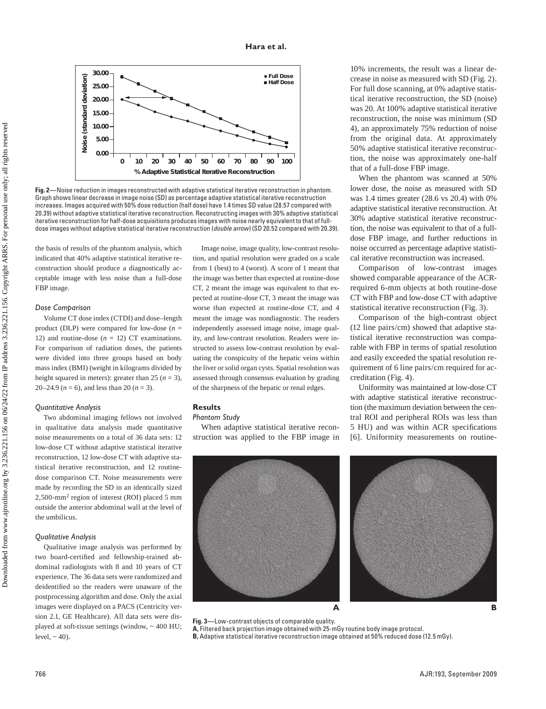

**Fig. 2—**Noise reduction in images reconstructed with adaptive statistical iterative reconstruction in phantom. Graph shows linear decrease in image noise (SD) as percentage adaptive statistical iterative reconstruction increases. Images acquired with 50% dose reduction (half dose) have 1.4 times SD value (28.57 compared with 20.39) without adaptive statistical iterative reconstruction. Reconstructing images with 30% adaptive statistical iterative reconstruction for half-dose acquisitions produces images with noise nearly equivalent to that of fulldose images without adaptive statistical iterative reconstruction (*double arrow*) (SD 20.52 compared with 20.39).

the basis of results of the phantom analysis, which indicated that 40% adaptive statistical iterative reconstruction should produce a diagnostically acceptable image with less noise than a full-dose FBP image.

#### *Dose Comparison*

Volume CT dose index (CTDI) and dose–length product (DLP) were compared for low-dose (*n* = 12) and routine-dose  $(n = 12)$  CT examinations. For comparison of radiation doses, the patients were divided into three groups based on body mass index (BMI) (weight in kilograms divided by height squared in meters): greater than 25 ( $n = 3$ ), 20–24.9 ( $n = 6$ ), and less than 20 ( $n = 3$ ).

## *Quantitative Analysis*

Two abdominal imaging fellows not involved in qualitative data analysis made quantitative noise measurements on a total of 36 data sets: 12 low-dose CT without adaptive statistical iterative reconstruction, 12 low-dose CT with adaptive statistical iterative reconstruction, and 12 routinedose comparison CT. Noise measurements were made by recording the SD in an identically sized 2,500-mm2 region of interest (ROI) placed 5 mm outside the anterior abdominal wall at the level of the umbilicus.

# *Qualitative Analysis*

Qualitative image analysis was performed by two board-certified and fellowship-trained abdominal radiologists with 8 and 10 years of CT experience. The 36 data sets were randomized and deidentified so the readers were unaware of the postprocessing algorithm and dose. Only the axial images were displayed on a PACS (Centricity version 2.1, GE Healthcare). All data sets were displayed at soft-tissue settings (window,  $\sim$  400 HU; level,  $\sim$  40).

Image noise, image quality, low-contrast resolution, and spatial resolution were graded on a scale from 1 (best) to 4 (worst). A score of 1 meant that the image was better than expected at routine-dose CT, 2 meant the image was equivalent to that expected at routine-dose CT, 3 meant the image was worse than expected at routine-dose CT, and 4 meant the image was nondiagnostic. The readers independently assessed image noise, image quality, and low-contrast resolution. Readers were instructed to assess low-contrast resolution by evaluating the conspicuity of the hepatic veins within the liver or solid organ cysts. Spatial resolution was assessed through consensus evaluation by grading of the sharpness of the hepatic or renal edges.

# **Results**

#### *Phantom Study*

When adaptive statistical iterative reconstruction was applied to the FBP image in



10% increments, the result was a linear decrease in noise as measured with SD (Fig. 2). For full dose scanning, at 0% adaptive statistical iterative reconstruction, the SD (noise) was 20. At 100% adaptive statistical iterative reconstruction, the noise was minimum (SD 4), an approximately 75% reduction of noise from the original data. At approximately 50% adaptive statistical iterative reconstruction, the noise was approximately one-half that of a full-dose FBP image.

When the phantom was scanned at 50% lower dose, the noise as measured with SD was 1.4 times greater (28.6 vs 20.4) with 0% adaptive statistical iterative reconstruction. At 30% adaptive statistical iterative reconstruction, the noise was equivalent to that of a fulldose FBP image, and further reductions in noise occurred as percentage adaptive statistical iterative reconstruction was increased.

Comparison of low-contrast images showed comparable appearance of the ACRrequired 6-mm objects at both routine-dose CT with FBP and low-dose CT with adaptive statistical iterative reconstruction (Fig. 3).

Comparison of the high-contrast object (12 line pairs/cm) showed that adaptive statistical iterative reconstruction was comparable with FBP in terms of spatial resolution and easily exceeded the spatial resolution requirement of 6 line pairs/cm required for accreditation (Fig. 4).

Uniformity was maintained at low-dose CT with adaptive statistical iterative reconstruction (the maximum deviation between the central ROI and peripheral ROIs was less than 5 HU) and was within ACR specifications [6]. Uniformity measurements on routine-



**Fig. 3—**Low-contrast objects of comparable quality. **A,** Filtered back projection image obtained with 25-mGy routine body image protocol. **B,** Adaptive statistical iterative reconstruction image obtained at 50% reduced dose (12.5 mGy).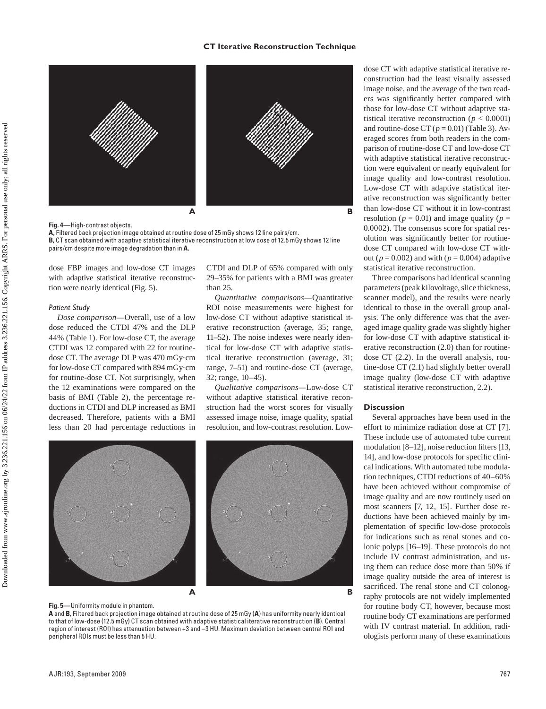## **CT Iterative Reconstruction Technique**



**Fig. 4—**High-contrast objects. **A,** Filtered back projection image obtained at routine dose of 25 mGy shows 12 line pairs/cm. **B,** CT scan obtained with adaptive statistical iterative reconstruction at low dose of 12.5 mGy shows 12 line pairs/cm despite more image degradation than in **A.**

dose FBP images and low-dose CT images with adaptive statistical iterative reconstruction were nearly identical (Fig. 5).

#### *Patient Study*

*Dose comparison—*Overall, use of a low dose reduced the CTDI 47% and the DLP 44% (Table 1). For low-dose CT, the average CTDI was 12 compared with 22 for routinedose CT. The average DLP was 470 mGy·cm for low-dose CT compared with 894 mGy·cm for routine-dose CT. Not surprisingly, when the 12 examinations were compared on the basis of BMI (Table 2), the percentage reductions in CTDI and DLP increased as BMI decreased. Therefore, patients with a BMI less than 20 had percentage reductions in CTDI and DLP of 65% compared with only 29–35% for patients with a BMI was greater than 25.

*Quantitative comparisons—*Quantitative ROI noise measurements were highest for low-dose CT without adaptive statistical iterative reconstruction (average, 35; range, 11–52). The noise indexes were nearly identical for low-dose CT with adaptive statistical iterative reconstruction (average, 31; range, 7–51) and routine-dose CT (average, 32; range, 10–45).

*Qualitative comparisons—*Low-dose CT without adaptive statistical iterative reconstruction had the worst scores for visually assessed image noise, image quality, spatial resolution, and low-contrast resolution. Low-



#### **Fig. 5—**Uniformity module in phantom.

**A** and **B,** Filtered back projection image obtained at routine dose of 25 mGy (**A**) has uniformity nearly identical to that of low-dose (12.5 mGy) CT scan obtained with adaptive statistical iterative reconstruction (**B**). Central region of interest (ROI) has attenuation between +3 and –3 HU. Maximum deviation between central ROI and peripheral ROIs must be less than 5 HU.

dose CT with adaptive statistical iterative reconstruction had the least visually assessed image noise, and the average of the two readers was significantly better compared with those for low-dose CT without adaptive statistical iterative reconstruction ( $p < 0.0001$ ) and routine-dose CT  $(p = 0.01)$  (Table 3). Averaged scores from both readers in the comparison of routine-dose CT and low-dose CT with adaptive statistical iterative reconstruction were equivalent or nearly equivalent for image quality and low-contrast resolution. Low-dose CT with adaptive statistical iterative reconstruction was significantly better than low-dose CT without it in low-contrast resolution ( $p = 0.01$ ) and image quality ( $p =$ 0.0002). The consensus score for spatial resolution was significantly better for routinedose CT compared with low-dose CT without ( $p = 0.002$ ) and with ( $p = 0.004$ ) adaptive statistical iterative reconstruction.

Three comparisons had identical scanning parameters (peak kilovoltage, slice thickness, scanner model), and the results were nearly identical to those in the overall group analysis. The only difference was that the averaged image quality grade was slightly higher for low-dose CT with adaptive statistical iterative reconstruction (2.0) than for routinedose CT (2.2). In the overall analysis, routine-dose CT (2.1) had slightly better overall image quality (low-dose CT with adaptive statistical iterative reconstruction, 2.2).

# **Discussion**

Several approaches have been used in the effort to minimize radiation dose at CT [7]. These include use of automated tube current modulation [8–12], noise reduction filters [13, 14], and low-dose protocols for specific clinical indications. With automated tube modulation techniques, CTDI reductions of 40–60% have been achieved without compromise of image quality and are now routinely used on most scanners [7, 12, 15]. Further dose reductions have been achieved mainly by implementation of specific low-dose protocols for indications such as renal stones and colonic polyps [16–19]. These protocols do not include IV contrast administration, and using them can reduce dose more than 50% if image quality outside the area of interest is sacrificed. The renal stone and CT colonography protocols are not widely implemented for routine body CT, however, because most routine body CT examinations are performed with IV contrast material. In addition, radiologists perform many of these examinations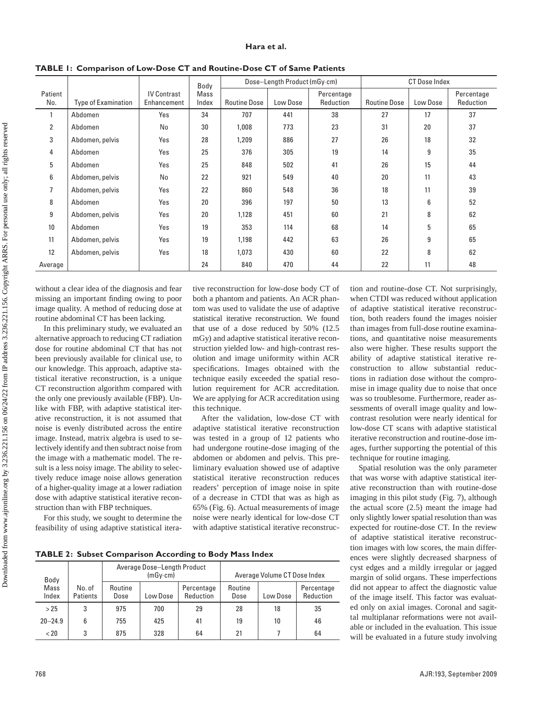### **Hara et al.**

|                |                                                                                  |     | Body |                     | Dose-Length Product (mGy.cm) |                         | <b>CT Dose Index</b> |          |                         |  |
|----------------|----------------------------------------------------------------------------------|-----|------|---------------------|------------------------------|-------------------------|----------------------|----------|-------------------------|--|
| Patient<br>No. | <b>IV Contrast</b><br>Mass<br>Index<br><b>Type of Examination</b><br>Enhancement |     |      | <b>Routine Dose</b> | Low Dose                     | Percentage<br>Reduction | <b>Routine Dose</b>  | Low Dose | Percentage<br>Reduction |  |
|                | Abdomen                                                                          | Yes | 34   | 707                 | 441                          | 38                      | 27                   | 17       | 37                      |  |
| 2              | Abdomen                                                                          | No  | 30   | 1,008               | 773                          | 23                      | 31                   | 20       | 37                      |  |
| 3              | Abdomen, pelvis                                                                  | Yes | 28   | 1,209               | 886                          | 27                      | 26                   | 18       | 32                      |  |
| 4              | Abdomen                                                                          | Yes | 25   | 376                 | 305                          | 19                      | 14                   | 9        | 35                      |  |
| 5              | Abdomen                                                                          | Yes | 25   | 848                 | 502                          | 41                      | 26                   | 15       | 44                      |  |
| 6              | Abdomen, pelvis                                                                  | No  | 22   | 921                 | 549                          | 40                      | 20                   | 11       | 43                      |  |
|                | Abdomen, pelvis                                                                  | Yes | 22   | 860                 | 548                          | 36                      | 18                   | 11       | 39                      |  |
| 8              | Abdomen                                                                          | Yes | 20   | 396                 | 197                          | 50                      | 13                   | 6        | 52                      |  |
| 9              | Abdomen, pelvis                                                                  | Yes | 20   | 1,128               | 451                          | 60                      | 21                   | 8        | 62                      |  |
| 10             | Abdomen                                                                          | Yes | 19   | 353                 | 114                          | 68                      | 14                   | 5        | 65                      |  |
| 11             | Abdomen, pelvis                                                                  | Yes | 19   | 1,198               | 442                          | 63                      | 26                   | 9        | 65                      |  |
| 12             | Abdomen, pelvis                                                                  | Yes | 18   | 1,073               | 430                          | 60                      | 22                   | 8        | 62                      |  |
| Average        |                                                                                  |     | 24   | 840                 | 470                          | 44                      | 22                   | 11       | 48                      |  |

**TABLE 1: Comparison of Low-Dose CT and Routine-Dose CT of Same Patients**

without a clear idea of the diagnosis and fear missing an important finding owing to poor image quality. A method of reducing dose at routine abdominal CT has been lacking.

In this preliminary study, we evaluated an alternative approach to reducing CT radiation dose for routine abdominal CT that has not been previously available for clinical use, to our knowledge. This approach, adaptive statistical iterative reconstruction, is a unique CT reconstruction algorithm compared with the only one previously available (FBP). Unlike with FBP, with adaptive statistical iterative reconstruction, it is not assumed that noise is evenly distributed across the entire image. Instead, matrix algebra is used to selectively identify and then subtract noise from the image with a mathematic model. The result is a less noisy image. The ability to selectively reduce image noise allows generation of a higher-quality image at a lower radiation dose with adaptive statistical iterative reconstruction than with FBP techniques.

For this study, we sought to determine the feasibility of using adaptive statistical iterative reconstruction for low-dose body CT of both a phantom and patients. An ACR phantom was used to validate the use of adaptive statistical iterative reconstruction. We found that use of a dose reduced by 50% (12.5 mGy) and adaptive statistical iterative reconstruction yielded low- and high-contrast resolution and image uniformity within ACR specifications. Images obtained with the technique easily exceeded the spatial resolution requirement for ACR accreditation. We are applying for ACR accreditation using this technique.

After the validation, low-dose CT with adaptive statistical iterative reconstruction was tested in a group of 12 patients who had undergone routine-dose imaging of the abdomen or abdomen and pelvis. This preliminary evaluation showed use of adaptive statistical iterative reconstruction reduces readers' perception of image noise in spite of a decrease in CTDI that was as high as 65% (Fig. 6). Actual measurements of image noise were nearly identical for low-dose CT with adaptive statistical iterative reconstruc-

tion and routine-dose CT. Not surprisingly, when CTDI was reduced without application of adaptive statistical iterative reconstruction, both readers found the images noisier than images from full-dose routine examinations, and quantitative noise measurements also were higher. These results support the ability of adaptive statistical iterative reconstruction to allow substantial reductions in radiation dose without the compromise in image quality due to noise that once was so troublesome. Furthermore, reader assessments of overall image quality and lowcontrast resolution were nearly identical for low-dose CT scans with adaptive statistical iterative reconstruction and routine-dose images, further supporting the potential of this technique for routine imaging.

Spatial resolution was the only parameter that was worse with adaptive statistical iterative reconstruction than with routine-dose imaging in this pilot study (Fig. 7), although the actual score (2.5) meant the image had only slightly lower spatial resolution than was expected for routine-dose CT. In the review of adaptive statistical iterative reconstruction images with low scores, the main differences were slightly decreased sharpness of cyst edges and a mildly irregular or jagged margin of solid organs. These imperfections did not appear to affect the diagnostic value of the image itself. This factor was evaluated only on axial images. Coronal and sagittal multiplanar reformations were not available or included in the evaluation. This issue will be evaluated in a future study involving

**TABLE 2: Subset Comparison According to Body Mass Index**

| Body          |                    |                 | Average Dose-Length Product<br>(mGv.cm) |                         | Average Volume CT Dose Index |          |                         |  |
|---------------|--------------------|-----------------|-----------------------------------------|-------------------------|------------------------------|----------|-------------------------|--|
| Mass<br>Index | No. of<br>Patients | Routine<br>Dose | Low Dose                                | Percentage<br>Reduction | Routine<br>Dose              | Low Dose | Percentage<br>Reduction |  |
| >25           | 3                  | 975             | 700                                     | 29                      | 28                           | 18       | 35                      |  |
| $20 - 24.9$   | 6                  | 755             | 425                                     | 41                      | 19                           | 10       | 46                      |  |
| < 20          | 3                  | 875             | 328                                     | 64                      | 21                           |          | 64                      |  |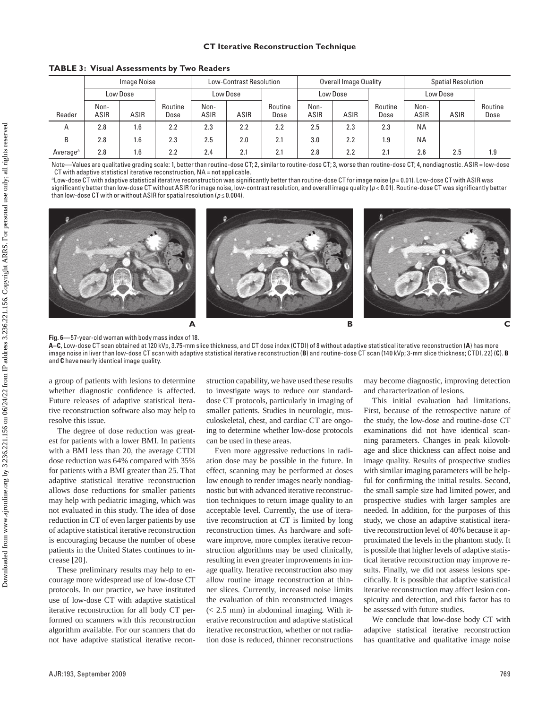# **CT Iterative Reconstruction Technique**

**TABLE 3: Visual Assessments by Two Readers**

|                      | <b>Image Noise</b>  |             |                 | <b>Low-Contrast Resolution</b> |      |                 | Overall Image Quality |      |                 | <b>Spatial Resolution</b> |      |                 |
|----------------------|---------------------|-------------|-----------------|--------------------------------|------|-----------------|-----------------------|------|-----------------|---------------------------|------|-----------------|
|                      | Low Dose            |             |                 | Low Dose                       |      |                 | Low Dose              |      |                 | Low Dose                  |      |                 |
| Reader               | Non-<br><b>ASIR</b> | <b>ASIR</b> | Routine<br>Dose | Non-<br><b>ASIR</b>            | ASIR | Routine<br>Dose | Non-<br>ASIR          | ASIR | Routine<br>Dose | Non-<br>ASIR              | ASIR | Routine<br>Dose |
| $\overline{A}$       | 2.8                 | 1.6         | 2.2             | 2.3                            | 2.2  | 2.2             | 2.5                   | 2.3  | 2.3             | <b>NA</b>                 |      |                 |
| B                    | 2.8                 | 1.6         | 2.3             | 2.5                            | 2.0  | 2.1             | 3.0                   | 2.2  | 1.9             | <b>NA</b>                 |      |                 |
| Average <sup>a</sup> | 2.8                 | 1.6         | 2.2             | 2.4                            | 2.1  | 2.1             | 2.8                   | 2.2  | 2.1             | 2.6                       | 2.5  | 1.9             |

Note—Values are qualitative grading scale: 1, better than routine-dose CT; 2, similar to routine-dose CT; 3, worse than routine-dose CT; 4, nondiagnostic. ASIR = low-dose CT with adaptive statistical iterative reconstruction,  $NA = not$  applicable

aLow-dose CT with adaptive statistical iterative reconstruction was significantly better than routine-dose CT for image noise (*p* = 0.01). Low-dose CT with ASIR was significantly better than low-dose CT without ASIR for image noise, low-contrast resolution, and overall image quality (*p* < 0.01). Routine-dose CT was significantly better than low-dose CT with or without ASIR for spatial resolution ( $p \le 0.004$ ).



**Fig. 6—**57-year-old woman with body mass index of 18.

**A–C,** Low-dose CT scan obtained at 120 kVp, 3.75-mm slice thickness, and CT dose index (CTDI) of 8 without adaptive statistical iterative reconstruction (**A**) has more image noise in liver than low-dose CT scan with adaptive statistical iterative reconstruction (**B**) and routine-dose CT scan (140 kVp; 3-mm slice thickness; CTDI, 22) (**C**). **B** and **C** have nearly identical image quality.

a group of patients with lesions to determine whether diagnostic confidence is affected. Future releases of adaptive statistical iterative reconstruction software also may help to resolve this issue.

The degree of dose reduction was greatest for patients with a lower BMI. In patients with a BMI less than 20, the average CTDI dose reduction was 64% compared with 35% for patients with a BMI greater than 25. That adaptive statistical iterative reconstruction allows dose reductions for smaller patients may help with pediatric imaging, which was not evaluated in this study. The idea of dose reduction in CT of even larger patients by use of adaptive statistical iterative reconstruction is encouraging because the number of obese patients in the United States continues to increase [20].

These preliminary results may help to encourage more widespread use of low-dose CT protocols. In our practice, we have instituted use of low-dose CT with adaptive statistical iterative reconstruction for all body CT performed on scanners with this reconstruction algorithm available. For our scanners that do not have adaptive statistical iterative recon-

struction capability, we have used these results to investigate ways to reduce our standarddose CT protocols, particularly in imaging of smaller patients. Studies in neurologic, musculoskeletal, chest, and cardiac CT are ongoing to determine whether low-dose protocols can be used in these areas.

Even more aggressive reductions in radiation dose may be possible in the future. In effect, scanning may be performed at doses low enough to render images nearly nondiagnostic but with advanced iterative reconstruction techniques to return image quality to an acceptable level. Currently, the use of iterative reconstruction at CT is limited by long reconstruction times. As hardware and software improve, more complex iterative reconstruction algorithms may be used clinically, resulting in even greater improvements in image quality. Iterative reconstruction also may allow routine image reconstruction at thinner slices. Currently, increased noise limits the evaluation of thin reconstructed images  $(< 2.5$  mm) in abdominal imaging. With iterative reconstruction and adaptive statistical iterative reconstruction, whether or not radiation dose is reduced, thinner reconstructions may become diagnostic, improving detection and characterization of lesions.

This initial evaluation had limitations. First, because of the retrospective nature of the study, the low-dose and routine-dose CT examinations did not have identical scanning parameters. Changes in peak kilovoltage and slice thickness can affect noise and image quality. Results of prospective studies with similar imaging parameters will be helpful for confirming the initial results. Second, the small sample size had limited power, and prospective studies with larger samples are needed. In addition, for the purposes of this study, we chose an adaptive statistical iterative reconstruction level of 40% because it approximated the levels in the phantom study. It is possible that higher levels of adaptive statistical iterative reconstruction may improve results. Finally, we did not assess lesions specifically. It is possible that adaptive statistical iterative reconstruction may affect lesion conspicuity and detection, and this factor has to be assessed with future studies.

We conclude that low-dose body CT with adaptive statistical iterative reconstruction has quantitative and qualitative image noise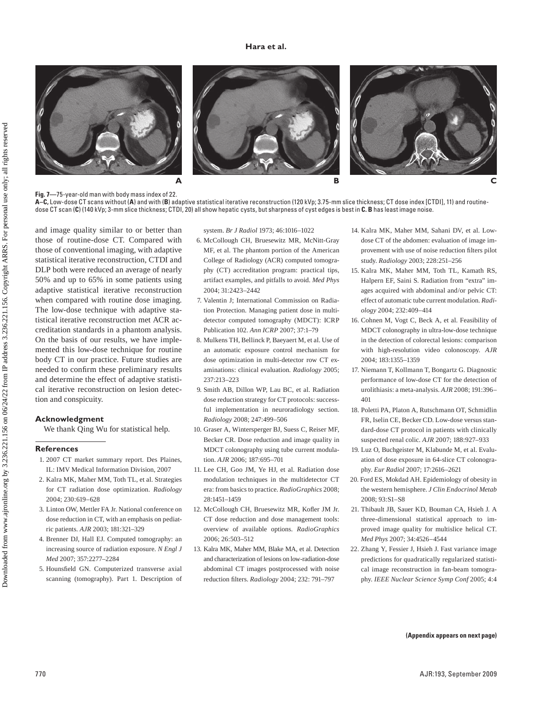### **Hara et al.**







**Fig. 7—**75-year-old man with body mass index of 22.

**A–C,** Low-dose CT scans without (**A**) and with (**B**) adaptive statistical iterative reconstruction (120 kVp; 3.75-mm slice thickness; CT dose index [CTDI], 11) and routinedose CT scan (**C**) (140 kVp; 3-mm slice thickness; CTDI, 20) all show hepatic cysts, but sharpness of cyst edges is best in **C. B** has least image noise.

and image quality similar to or better than those of routine-dose CT. Compared with those of conventional imaging, with adaptive statistical iterative reconstruction, CTDI and DLP both were reduced an average of nearly 50% and up to 65% in some patients using adaptive statistical iterative reconstruction when compared with routine dose imaging. The low-dose technique with adaptive statistical iterative reconstruction met ACR accreditation standards in a phantom analysis. On the basis of our results, we have implemented this low-dose technique for routine body CT in our practice. Future studies are needed to confirm these preliminary results and determine the effect of adaptive statistical iterative reconstruction on lesion detection and conspicuity.

#### **Acknowledgment**

We thank Qing Wu for statistical help.

### **References**

- 1. 2007 CT market summary report. Des Plaines, IL: IMV Medical Information Division, 2007
- 2. Kalra MK, Maher MM, Toth TL, et al. Strategies for CT radiation dose optimization. *Radiology* 2004; 230:619–628
- 3. Linton OW, Mettler FA Jr. National conference on dose reduction in CT, with an emphasis on pediatric patients. *AJR* 2003; 181:321–329
- 4. Brenner DJ, Hall EJ. Computed tomography: an increasing source of radiation exposure. *N Engl J Med* 2007; 357:2277–2284
- 5. Hounsfield GN. Computerized transverse axial scanning (tomography). Part 1. Description of

system. *Br J Radiol* 1973; 46:1016–1022

- 6. McCollough CH, Bruesewitz MR, McNitt-Gray MF, et al. The phantom portion of the American College of Radiology (ACR) computed tomography (CT) accreditation program: practical tips, artifact examples, and pitfalls to avoid. *Med Phys* 2004; 31:2423–2442
- 7. Valentin J; International Commission on Radiation Protection. Managing patient dose in multidetector computed tomography (MDCT): ICRP Publication 102. *Ann ICRP* 2007; 37:1–79
- 8. Mulkens TH, Bellinck P, Baeyaert M, et al. Use of an automatic exposure control mechanism for dose optimization in multi-detector row CT examinations: clinical evaluation. *Radiology* 2005; 237:213–223
- 9. Smith AB, Dillon WP, Lau BC, et al. Radiation dose reduction strategy for CT protocols: successful implementation in neuroradiology section. *Radiology* 2008; 247:499–506
- 10. Graser A, Wintersperger BJ, Suess C, Reiser MF, Becker CR. Dose reduction and image quality in MDCT colonography using tube current modulation. *AJR* 2006; 187:695–701
- 11. Lee CH, Goo JM, Ye HJ, et al. Radiation dose modulation techniques in the multidetector CT era: from basics to practice. *RadioGraphics* 2008; 28:1451–1459
- 12. McCollough CH, Bruesewitz MR, Kofler JM Jr. CT dose reduction and dose management tools: overview of available options. *RadioGraphics* 2006; 26:503–512
- 13. Kalra MK, Maher MM, Blake MA, et al. Detection and characterization of lesions on low-radiation-dose abdominal CT images postprocessed with noise reduction filters. *Radiology* 2004; 232: 791–797
- 14. Kalra MK, Maher MM, Sahani DV, et al. Lowdose CT of the abdomen: evaluation of image improvement with use of noise reduction filters pilot study. *Radiology* 2003; 228:251–256
- 15. Kalra MK, Maher MM, Toth TL, Kamath RS, Halpern EF, Saini S. Radiation from "extra" images acquired with abdominal and/or pelvic CT: effect of automatic tube current modulation. *Radiology* 2004; 232:409–414
- 16. Cohnen M, Vogt C, Beck A, et al. Feasibility of MDCT colonography in ultra-low-dose technique in the detection of colorectal lesions: comparison with high-resolution video colonoscopy. *AJR* 2004; 183:1355–1359
- 17. Niemann T, Kollmann T, Bongartz G. Diagnostic performance of low-dose CT for the detection of urolithiasis: a meta-analysis. *AJR* 2008; 191:396– 401
- 18. Poletti PA, Platon A, Rutschmann OT, Schmidlin FR, Iselin CE, Becker CD. Low-dose versus standard-dose CT protocol in patients with clinically suspected renal colic. *AJR* 2007; 188:927–933
- 19. Luz O, Buchgeister M, Klabunde M, et al. Evaluation of dose exposure in 64-slice CT colonography. *Eur Radiol* 2007; 17:2616–2621
- 20. Ford ES, Mokdad AH. Epidemiology of obesity in the western hemisphere. *J Clin Endocrinol Metab* 2008; 93:S1–S8
- 21. Thibault JB, Sauer KD, Bouman CA, Hsieh J. A three-dimensional statistical approach to improved image quality for multislice helical CT. *Med Phys* 2007; 34:4526–4544
- 22. Zhang Y, Fessier J, Hsieh J. Fast variance image predictions for quadratically regularized statistical image reconstruction in fan-beam tomography. *IEEE Nuclear Science Symp Conf* 2005; 4:4

**(Appendix appears on next page)**